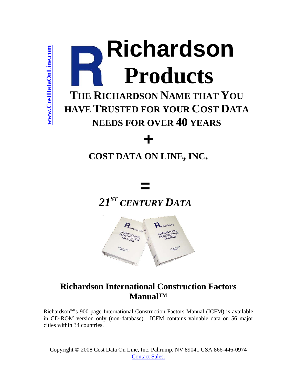

# <span id="page-0-0"></span>**THE RICHARDSON NAME THAT YOU HAVE TRUSTED FOR YOUR COST DATA NEEDS FOR OVER 40 YEARS** Examples of THE RI<br>
THE RI<br>
HAVE TR<br>
COST<br>
COST<br>
Richardson<sup>na's</sup> 900 page I<br>
in CD-ROM version only<br>
cities within 34 countries.

# *+*

# **COST DATA ON LINE, INC.**

# **=**  *21ST CENTURY DATA*



# **Richardson International Construction Factors Manual™**

Richardson™'s 900 page International Construction Factors Manual (ICFM) is available in CD-ROM version only (non-database). ICFM contains valuable data on 56 major

Copyright © 2008 Cost Data On Line, Inc. Pahrump, NV 89041 USA 866-446-0974 Contact Sales.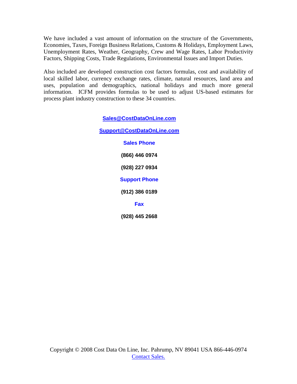We have included a vast amount of information on the structure of the Governments, Economies, Taxes, Foreign Business Relations, Customs & Holidays, Employment Laws, Unemployment Rates, Weather, Geography, Crew and Wage Rates, Labor Productivity Factors, Shipping Costs, Trade Regulations, Environmental Issues and Import Duties.

Also included are developed construction cost factors formulas, cost and availability of local skilled labor, currency exchange rates, climate, natural resources, land area and uses, population and demographics, national holidays and much more general information. ICFM provides formulas to be used to adjust US-based estimates for process plant industry construction to these 34 countries.

**Sales@CostDataOnLine.com**

**Support@CostDataOnLine.com**

**Sales Phone (866) 446 0974 (928) 227 0934 Support Phone (912) 386 0189 Fax (928) 445 2668**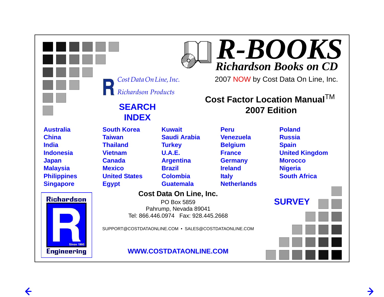

 $\leftarrow$ 

 $\rightarrow$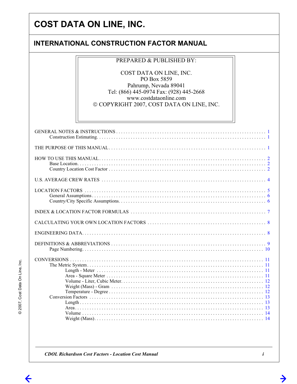## **INTERNATIONAL CONSTRUCTION FACTOR MANUAL**

#### **PREPARED & PUBLISHED BY:**

COST DATA ON LINE, INC. PO Box 5859 Pahrump, Nevada 89041 Tel: (866) 445-0974 Fax: (928) 445-2668 www.costdataonline.com © COPYRIGHT 2007, COST DATA ON LINE, INC.

**CDOL Richardson Cost Factors - Location Cost Manual** 

→

© 2007, Cost Data On Line, Inc.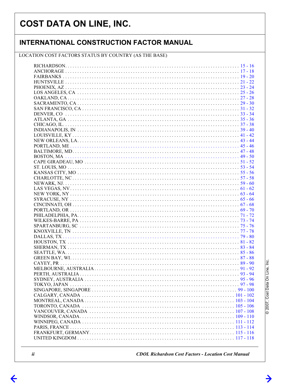#### **INTERNATIONAL CONSTRUCTION FACTOR MANUAL**

#### LOCATION COST FACTORS STATUS BY COUNTRY (AS THE BASE)

 $\leftarrow$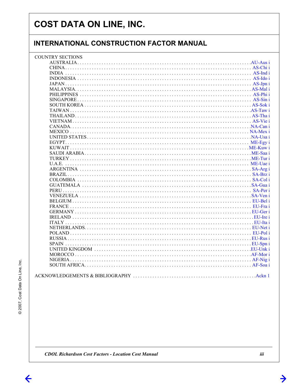## **INTERNATIONAL CONSTRUCTION FACTOR MANUAL**

| <b>COUNTRY SECTIONS</b> |
|-------------------------|
|                         |
|                         |
|                         |
|                         |
|                         |
|                         |
|                         |
|                         |
|                         |
|                         |
|                         |
|                         |
|                         |
|                         |
|                         |
|                         |
|                         |
|                         |
|                         |
|                         |
|                         |
|                         |
|                         |
|                         |
|                         |
|                         |
|                         |
|                         |
|                         |
|                         |
|                         |
|                         |
|                         |
|                         |
|                         |
|                         |
|                         |
|                         |
|                         |
|                         |

**CDOL Richardson Cost Factors - Location Cost Manual** 

© 2007, Cost Data On Line, Inc.

 $\leftarrow$ 

 $\rightarrow$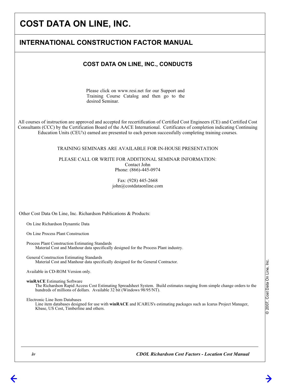| <b>INTERNATIONAL CONSTRUCTION FACTOR MANUAL</b>                                                                                                                                                                                                                                                                                                                                                                                                                                                                                                                                                                                                             |  |
|-------------------------------------------------------------------------------------------------------------------------------------------------------------------------------------------------------------------------------------------------------------------------------------------------------------------------------------------------------------------------------------------------------------------------------------------------------------------------------------------------------------------------------------------------------------------------------------------------------------------------------------------------------------|--|
| <b>COST DATA ON LINE, INC., CONDUCTS</b>                                                                                                                                                                                                                                                                                                                                                                                                                                                                                                                                                                                                                    |  |
| Please click on www.resi.net for our Support and<br>Training Course Catalog and then go to the<br>desired Seminar.                                                                                                                                                                                                                                                                                                                                                                                                                                                                                                                                          |  |
| All courses of instruction are approved and accepted for recertification of Certified Cost Engineers (CE) and Certified Cost<br>Consultants (CCC) by the Certification Board of the AACE International. Certificates of completion indicating Continuing<br>Education Units (CEU's) earned are presented to each person successfully completing training courses.                                                                                                                                                                                                                                                                                           |  |
| TRAINING SEMINARS ARE AVAILABLE FOR IN-HOUSE PRESENTATION                                                                                                                                                                                                                                                                                                                                                                                                                                                                                                                                                                                                   |  |
| PLEASE CALL OR WRITE FOR ADDITIONAL SEMINAR INFORMATION:<br>Contact John<br>Phone: (866)-445-0974                                                                                                                                                                                                                                                                                                                                                                                                                                                                                                                                                           |  |
| Fax: (928) 445-2668<br>john@costdataonline.com                                                                                                                                                                                                                                                                                                                                                                                                                                                                                                                                                                                                              |  |
| Other Cost Data On Line, Inc. Richardson Publications & Products:                                                                                                                                                                                                                                                                                                                                                                                                                                                                                                                                                                                           |  |
| On Line Richardson Dynamtic Data                                                                                                                                                                                                                                                                                                                                                                                                                                                                                                                                                                                                                            |  |
| On Line Process Plant Construction                                                                                                                                                                                                                                                                                                                                                                                                                                                                                                                                                                                                                          |  |
| Material Cost and Manhour data specifically designed for the Process Plant industry.                                                                                                                                                                                                                                                                                                                                                                                                                                                                                                                                                                        |  |
| Process Plant Construction Estimating Standards<br>General Construction Estimating Standards<br>Material Cost and Manhour data specifically designed for the General Contractor.<br>Available in CD-ROM Version only.<br>winRACE Estimating Software<br>The Richardson Rapid Access Cost Estimating Spreadsheet System. Build estimates ranging from simple change orders to the<br>hundreds of millions of dollars. Available 32 bit (Windows 98/95/NT).<br>Electronic Line Item Databases<br>Line item databases designed for use with winRACE and ICARUS's estimating packages such as Icarus Project Manager,<br>Kbase, US Cost, Timberline and others. |  |
|                                                                                                                                                                                                                                                                                                                                                                                                                                                                                                                                                                                                                                                             |  |
|                                                                                                                                                                                                                                                                                                                                                                                                                                                                                                                                                                                                                                                             |  |
|                                                                                                                                                                                                                                                                                                                                                                                                                                                                                                                                                                                                                                                             |  |
|                                                                                                                                                                                                                                                                                                                                                                                                                                                                                                                                                                                                                                                             |  |
|                                                                                                                                                                                                                                                                                                                                                                                                                                                                                                                                                                                                                                                             |  |
|                                                                                                                                                                                                                                                                                                                                                                                                                                                                                                                                                                                                                                                             |  |

© 2007, Cost Data On Line, Inc. © 2007, Cost Data On Line, Inc.

 *iv*

 $\Leftarrow$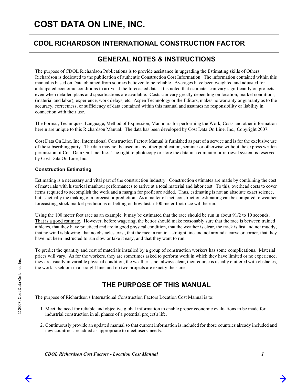#### **CDOL RICHARDSON INTERNATIONAL CONSTRUCTION FACTOR CDOL RICHARDSON INTERNATIONAL CONSTRUCTION FACTOR**

#### **GENERAL NOTES & INSTRUCTIONS GENERAL NOTES & INSTRUCTIONS**

The purpose of CDOL Richardson Publications is to provide assistance in upgrading the Estimating skills of Others. Richardson is dedicated to the publication of authentic Construction Cost Information. The information contained within this manual is based on Data obtained from sources believed to be reliable. Averages have been weighted and adjusted for anticipated economic conditions to arrive at the forecasted data. It is noted that estimates can vary significantly on projects even when detailed plans and specifications are available. Costs can vary greatly depending on location, market conditions, (material and labor), experience, work delays, etc. Aspen Technology or the Editors, makes no warranty or guaranty as to the accuracy, correctness, or sufficiency of data contained within this manual and assumes no responsibility or liability in connection with their use.

The Format, Techniques, Language, Method of Expression, Manhours for performing the Work, Costs and other information herein are unique to this Richardson Manual. The data has been developed by Cost Data On Line, Inc., Copyright 2007.

Cost Data On Line, Inc. International Construction Factort Manual is furnished as part of a service and is for the exclusive use of the subscribing party. The data may not be used in any other publication, seminar or otherwise without the express written permission of Cost Data On Line, Inc. The right to photocopy or store the data in a computer or retrieval system is reserved by Cost Data On Line, Inc.

#### **Construction Estimating**

Estimating is a necessary and vital part of the construction industry. Construction estimates are made by combining the cost of materials with historical manhour performances to arrive at a total material and labor cost. To this, overhead costs to cover items required to accomplish the work and a margin for profit are added. Thus, estimating is not an absolute exact science, but is actually the making of a forecast or prediction. As a matter of fact, construction estimating can be compared to weather forecasting, stock market predictions or betting on how fast a 100 meter foot race will be run.

Using the 100 meter foot race as an example, it may be estimated that the race should be run in about 91/2 to 10 seconds. That is a good estimate. However, before wagering, the bettor should make reasonably sure that the race is between trained athletes, that they have practiced and are in good physical condition, that the weather is clear, the track is fast and not muddy, that no wind is blowing, that no obstacles exist, that the race in run in a straight line and not around a curve or corner, that they have not been instructed to run slow or take it easy, and that they want to run.

To predict the quantity and cost of materials installed by a group of construction workers has some complications. Material prices will vary. As for the workers, they are sometimes asked to perform work in which they have limited or no experience, they are usually in variable physical condition, the weather is not always clear, their course is usually cluttered with obstacles, the work is seldom in a straight line, and no two projects are exactly the same.

#### THE PURPOSE OF THIS MANUAL **THE PURPOSE OF THIS MANUAL**

The purpose of Richardson's International Construction Factors Location Cost Manual is to:

- 1. Meet the need for reliable and objective global information to enable proper economic evaluations to be made for industrial construction in all phases of a potential project's life.
- 2. Continuously provide an updated manual so that current information is included for those countries already included and new countries are added as appropriate to meet users' needs.

*CDOL Richardson Cost Factors - Location Cost Manual*

# $\overline{c}$ © 2007, Cost Data On Line, Inc. © 2007, Cost Data On Line,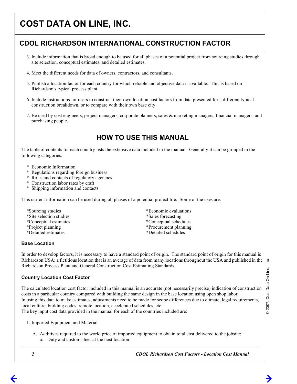#### **CDOL RICHARDSON INTERNATIONAL CONSTRUCTION FACTOR CDOL RICHARDSON INTERNATIONAL CONSTRUCTION FACTOR**

- 3. Include information that is broad enough to be used for all phases of a potential project from sourcing studies through site selection, conceptual estimates, and detailed estimates.
- 4. Meet the different needs for data of owners, contractors, and consultants.
- 5. Publish a location factor for each country for which reliable and objective data is available. This is based on Richardson's typical process plant.
- 6. Include instructions for users to construct their own location cost factors from data presented for a different typical construction breakdown, or to compare with their own base city.
- 7. Be used by cost engineers, project managers, corporate planners, sales & marketing managers, financial managers, and purchasing people.

#### **HOW TO USE THIS MANUAL HOW TO USE THIS MANUAL**

The table of contents for each country lists the extensive data included in the manual. Generally it can be grouped in the following categories:

- \* Economic Information
- \* Regulations regarding foreign business
- Roles and contacts of regulatory agencies
- Construction labor rates by craft
- Shipping information and contacts

This current information can be used during all phases of a potential project life. Some of the uses are:

- \*Sourcing studies \*Economic evaluations \*Site selection studies \*Sales forecasting \*Conceptual estimates \*Conceptual schedules \*Project planning \*Procurement planning \*Detailed estimates \*Detailed schedules
	-
	-
	-
	-

#### **Base Location**

In order to develop factors, it is necessary to have a standard point of origin. The standard point of origin for this manual is Richardson USA; a fictitious location that is an average of data from many locations throughout the USA and published in the Richardson Process Plant and General Construction Cost Estimating Standards.

#### **Country Location Cost Factor**

The calculated location cost factor included in this manual is an accurate (not necessarily precise) indication of construction costs in a particular country compared with building the same design in the base location using open shop labor. In using this data to make estimates, adjustments need to be made for scope differences due to climate, legal requirements, local culture, building codes, remote location, accelerated schedules, etc. The key input cost data provided in the manual for each of the countries included are:

- 1. Imported Equipment and Material
	- A. Additives required to the world price of imported equipment to obtain total cost delivered to the jobsite:
		- a. Duty and customs fees at the host location.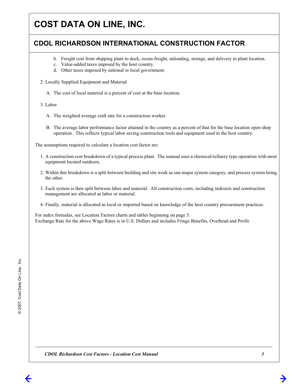#### **CDOL RICHARDSON INTERNATIONAL CONSTRUCTION FACTOR CDOL RICHARDSON INTERNATIONAL CONSTRUCTION FACTOR**

- b. Freight cost from shipping plant to dock, ocean freight, unloading, storage, and delivery to plant location.
- c. Value-added taxes imposed by the host country.
- d. Other taxes imposed by national or local government.
- 2. Locally Supplied Equipment and Material
	- A. The cost of local material is a percent of cost at the base location.

3. Labor

- A. The weighted average craft rate for a construction worker.
- B. The average labor performance factor attained in the country as a percent of that for the base location open shop operation. This reflects typical labor saving construction tools and equipment used in the host country.

The assumptions required to calculate a location cost factor are:

- 1. A construction cost breakdown of a typical process plant. The manual uses a chemical/refinery type operation with most equipment located outdoors.
- 2. Within this breakdown is a split between building and site work as one major system category, and process system being the other.
- 3. Each system is then split between labor and material. All construction costs, including indirects and construction management are allocated as labor or material.
- 4. Finally, material is allocated as local or imported based on knowledge of the host country procurement practices.

For index formulas, see Location Factors charts and tables beginning on page 5. Exchange Rate for the above Wage Rates is in U.S. Dollars and includes Fringe Benefits, Overhead and Profit.

*CDOL Richardson Cost Factors - Location Cost Manual*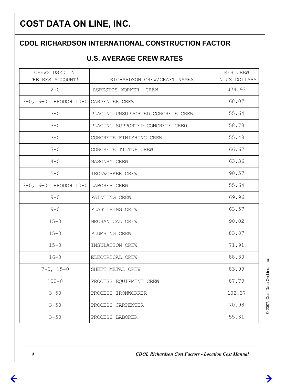# **CDOL RICHARDSON INTERNATIONAL CONSTRUCTION FACTOR**

# **U.S. AVERAGE CREW RATES**

| CREWS USED IN<br>THE RES ACCOUNT#    | RICHARDSON CREW/CRAFT NAMES       | RES CREW<br>IN US DOLLARS |  |  |
|--------------------------------------|-----------------------------------|---------------------------|--|--|
| $2 - 0$                              | ASBESTOS WORKER CREW              | \$74.93                   |  |  |
| 3-0, 6-0 THROUGH 10-0 CARPENTER CREW |                                   | 68.07                     |  |  |
| $3 - 0$                              | PLACING UNSUPPORTED CONCRETE CREW | 55.64                     |  |  |
| $3 - 0$                              | PLACING SUPPORTED CONCRETE CREW   | 58.78                     |  |  |
| $3 - 0$                              | CONCRETE FINISHING CREW           | 55.48                     |  |  |
| $3 - 0$                              | CONCRETE TILTUP CREW              | 66.67                     |  |  |
| $4 - 0$                              | MASONRY CREW                      | 63.36                     |  |  |
| $5 - 0$                              | IRONWORKER CREW                   | 90.57                     |  |  |
| 3-0, 6-0 THROUGH 10-0 LABORER CREW   |                                   | 55.64                     |  |  |
| $9 - 0$                              | PAINTING CREW                     | 69.96                     |  |  |
| $9 - 0$                              | PLASTERING CREW                   | 63.57                     |  |  |
| $15 - 0$                             | MECHANICAL CREW                   | 90.02                     |  |  |
| $15 - 0$                             | PLUMBING CREW                     | 83.87                     |  |  |
| $15 - 0$                             | INSULATION CREW                   | 71.91                     |  |  |
| $16 - 0$                             | ELECTRICAL CREW                   | 88.30                     |  |  |
| $7 - 0$ , 15-0                       | SHEET METAL CREW                  | 83.99                     |  |  |
| $100 - 0$                            | PROCESS EQUIPMENT CREW            | 87.79                     |  |  |
| $3 - 50$                             | PROCESS IRONWORKER                | 102.37                    |  |  |
| $3 - 50$                             | PROCESS CARPENTER                 | 70.98                     |  |  |
| $3 - 50$                             | PROCESS LABORER                   | 55.31                     |  |  |

@2007, Cost Data On Line, Inc. © 2007, Cost Data On Line, Inc.

 $\rightarrow$ 

*CDOL Richardson Cost Factors - Location Cost Manual*

 $\leftarrow$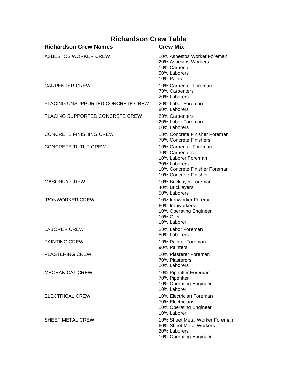#### **Richardson Crew Table Richardson Crew Names Crew Mix** ASBESTOS WORKER CREW 10% Asbestos Worker Foreman 20% Asbestos Workers 10% Carpenter 50% Laborers 10% Painter CARPENTER CREW 10% Carpenter Foreman 70% Carpenters 20% Laborers PLACING UNSUPPORTED CONCRETE CREW 20% Labor Foreman 80% Laborers PLACING SUPPORTED CONCRETE CREW 20% Carpenters 20% Labor Foreman 60% Laborers CONCRETE FINISHING CREW 10% Concrete Finisher Foreman 70% Concrete Finishers CONCRETE TILTUP CREW 10% Carpenter Foreman 30% Carpenters 10% Laborer Foreman 30% Laborers 10% Concrete Finisher Foreman 10% Concrete Finisher MASONRY CREW 10% Bricklayer Foreman 40% Bricklayers 50% Laborers IRONWORKER CREW 10% Ironworker Foreman 60% Ironworkers 10% Operating Engineer 10% Oiler 10% Laborer LABORER CREW 20% Labor Foreman 80% Laborers PAINTING CREW 10% Painter Foreman 90% Painters PLASTERING CREW 10% Plasterer Foreman 70% Plasterers 20% Laborers MECHANICAL CREW 10% Pipefitter Foreman 70% Pipefitter 10% Operating Engineer 10% Laborer ELECTRICAL CREW 10% Electrician Foreman 70% Electricians 10% Operating Engineer 10% Laborer SHEET METAL CREW 10% Sheet Metal Worker Foreman 60% Sheet Metal Workers 20% Laborers 10% Operating Engineer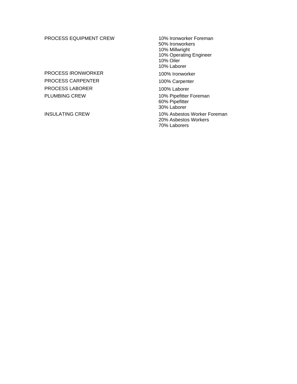#### PROCESS EQUIPMENT CREW 10% Ironworker Foreman

PROCESS IRONWORKER 100% Ironworker PROCESS CARPENTER 100% Carpenter PROCESS LABORER 100% Laborer PLUMBING CREW 10% Pipefitter Foreman

50% Ironworkers 10% Millwright 10% Operating Engineer 10% Oiler 10% Laborer 60% Pipefitter 30% Laborer INSULATING CREW 10% Asbestos Worker Foreman

20% Asbestos Workers 70% Laborers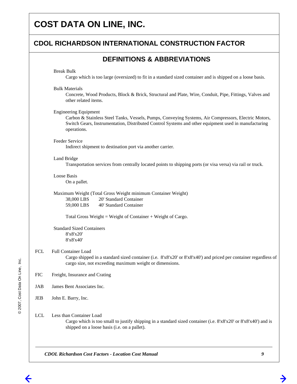#### **CDOL RICHARDSON INTERNATIONAL CONSTRUCTION FACTOR**

#### **DEFINITIONS & ABBREVIATIONS**

#### Break Bulk

Cargo which is too large (oversized) to fit in a standard sized container and is shipped on a loose basis.

#### Bulk Materials

Concrete, Wood Products, Block & Brick, Structural and Plate, Wire, Conduit, Pipe, Fittings, Valves and other related items.

#### Engineering Equipment

Carbon & Stainless Steel Tanks, Vessels, Pumps, Conveying Systems, Air Compressors, Electric Motors, Switch Gears, Instrumentation, Distributed Control Systems and other equipment used in manufacturing operations.

#### Feeder Service

Indirect shipment to destination port via another carrier.

#### Land Bridge

Transportation services from centrally located points to shipping ports (or visa versa) via rail or truck.

#### Loose Basis On a pallet.

Maximum Weight (Total Gross Weight minimum Container Weight) 38,000 LBS 20' Standard Container 59,000 LBS 40' Standard Container

Total Gross Weight = Weight of Container + Weight of Cargo.

Standard Sized Containers 8'x8'x20' 8'x8'x40'

#### FCL Full Container Load

Cargo shipped in a standard sized container (i.e. 8'x8'x20' or 8'x8'x40') and priced per container regardless of cargo size, not exceeding maximum weight or dimensions.

- FIC Freight, Insurance and Crating
- JAB James Bent Associates Inc.

JEB John E. Barry, Inc.

#### LCL Less than Container Load

Cargo which is too small to justify shipping in a standard sized container (i.e. 8'x8'x20' or 8'x8'x40') and is shipped on a loose basis (i.e. on a pallet).

*CDOL Richardson Cost Factors - Location Cost Manual*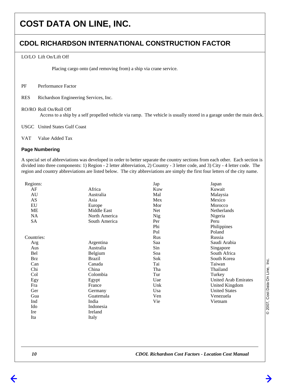#### **CDOL RICHARDSON INTERNATIONAL CONSTRUCTION FACTOR**

#### LO/LO Lift On/Lift Off

Placing cargo onto (and removing from) a ship via crane service.

- PF Performance Factor
- RES Richardson Engineering Services, Inc.
- RO/RO Roll On/Roll Off

Access to a ship by a self propelled vehicle via ramp. The vehicle is usually stored in a garage under the main deck.

USGC United States Gulf Coast

VAT Value Added Tax

#### **Page Numbering**

A special set of abbreviations was developed in order to better separate the country sections from each other. Each section is divided into three components: 1) Region - 2 letter abbreviation, 2) Country - 3 letter code, and 3) City - 4 letter code. The region and country abbreviations are listed below. The city abbreviations are simply the first four letters of the city name.

| Regions:   |               | Jap        | Japan                |
|------------|---------------|------------|----------------------|
| AF         | Africa        | Kuw        | Kuwait               |
| AU         | Australia     | Mal        | Malaysia             |
| AS         | Asia          | Mex        | Mexico               |
| EU         | Europe        | Mor        | Morocco              |
| ME         | Middle East   | Net        | Netherlands          |
| NA         | North America | <b>Nig</b> | Nigeria              |
| SA         | South America | Per        | Peru                 |
|            |               | Phi        | Philippines          |
|            |               | Pol        | Poland               |
| Countries: |               | Rus        | Russia               |
| Arg        | Argentina     | Saa        | Saudi Arabia         |
| Aus        | Australia     | Sin        | Singapore            |
| Bel        | Belgium       | Soa        | South Africa         |
| Brz        | <b>Brazil</b> | Sok        | South Korea          |
| Can        | Canada        | Tai        | Taiwan               |
| Chi        | China         | Tha        | Thailand             |
| Col        | Colombia      | Tur        | Turkey               |
| Egy        | Egypt         | Uae        | United Arab Emirates |
| Fra        | France        | Unk        | United Kingdom       |
| Ger        | Germany       | Usa        | <b>United States</b> |
| Gua        | Guatemala     | Ven        | Venezuela            |
| Ind        | India         | Vie        | Vietnam              |
| Ido        | Indonesia     |            |                      |
| Ire        | Ireland       |            |                      |
| Ita        | Italy         |            |                      |
|            |               |            |                      |

@2007, Cost Data On Line, Inc. © 2007, Cost Data On Line, Inc.

 *10*

 $\leftarrow$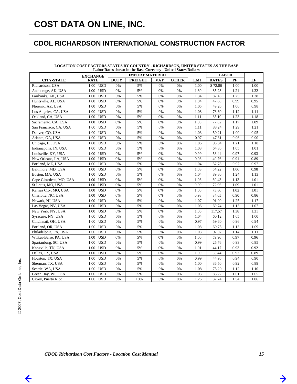## **CDOL RICHARDSON INTERNATIONAL CONSTRUCTION FACTOR**

| LOCATION COST FACTORS STATUS BY COUNTRY - RICHARDSON, UNITED STATES AS THE BASE<br>Labor Rates shown in the Base Currency - United States Dollars |                                           |             |                |            |              |      |              |      |      |
|---------------------------------------------------------------------------------------------------------------------------------------------------|-------------------------------------------|-------------|----------------|------------|--------------|------|--------------|------|------|
|                                                                                                                                                   | <b>IMPORT MATERIAL</b><br><b>EXCHANGE</b> |             |                |            | <b>LABOR</b> |      |              |      |      |
| <b>CITY-STATE</b>                                                                                                                                 | <b>RATE</b>                               | <b>DUTY</b> | <b>FREIGHT</b> | <b>VAT</b> | <b>OTHER</b> | LMI  | <b>RATES</b> | PF   | LF   |
| Richardson, USA                                                                                                                                   | $\overline{1.00}$ USD                     | 0%          | 5%             | 0%         | 0%           | 1.00 | \$72.86      | 1.00 | 1.00 |
| Anchorage, AK, USA                                                                                                                                | 1.00<br><b>USD</b>                        | 0%          | 5%             | 0%         | 0%           | 1.30 | 85.23        | 1.21 | 1.32 |
| Fairbanks, AK, USA                                                                                                                                | 1.00<br><b>USD</b>                        | 0%          | 5%             | 0%         | 0%           | 1.34 | 87.45        | 1.25 | 1.38 |
| Huntsville, AL, USA                                                                                                                               | 1.00<br>USD                               | 0%          | 5%             | 0%         | 0%           | 1.04 | 47.86        | 0.99 | 0.95 |
| Phoenix, AZ, USA                                                                                                                                  | <b>USD</b><br>1.00                        | 0%          | 5%             | 0%         | 0%           | 1.05 | 49.26        | 1.06 | 0.98 |
| Los Angeles, CA, USA                                                                                                                              | <b>USD</b><br>1.00                        | 0%          | 5%             | 0%         | 0%           | 1.08 | 78.60        | 1.12 | 1.11 |
| Oakland, CA, USA                                                                                                                                  | <b>USD</b><br>1.00                        | 0%          | 5%             | 0%         | 0%           | 1.11 | 85.10        | 1.23 | 1.18 |
| Sacramento, CA, USA                                                                                                                               | 1.00<br><b>USD</b>                        | 0%          | 5%             | 0%         | 0%           | 1.05 | 77.82        | 1.17 | 1.09 |
| San Francisco, CA, USA                                                                                                                            | 1.00<br><b>USD</b>                        | 0%          | 5%             | 0%         | $0\%$        | 1.11 | 88.24        | 1.29 | 1.21 |
| Denver, CO, USA                                                                                                                                   | <b>USD</b><br>1.00                        | 0%          | 5%             | 0%         | 0%           | 1.03 | 50.21        | 1.00 | 0.95 |
| Atlanta, GA, USA                                                                                                                                  | <b>USD</b><br>1.00                        | 0%          | 5%             | 0%         | 0%           | 0.97 | 47.31        | 0.96 | 0.90 |
| Chicago, IL, USA                                                                                                                                  | <b>USD</b><br>1.00                        | 0%          | 5%             | 0%         | 0%           | 1.06 | 96.84        | 1.21 | 1.18 |
| Indianapolis, IN, USA                                                                                                                             | <b>USD</b><br>1.00                        | 0%          | 5%             | 0%         | 0%           | 1.03 | 64.36        | 1.05 | 1.01 |
| Louisville, KY, USA                                                                                                                               | 1.00<br><b>USD</b>                        | 0%          | 5%             | 0%         | 0%           | 0.99 | 53.44        | 0.97 | 0.93 |
| New Orleans, LA, USA                                                                                                                              | <b>USD</b><br>1.00                        | 0%          | 5%             | 0%         | 0%           | 0.98 | 40.76        | 0.91 | 0.89 |
| Portland, ME, USA                                                                                                                                 | <b>USD</b><br>1.00                        | 0%          | 5%             | 0%         | 0%           | 1.04 | 52.78        | 0.97 | 0.97 |
| Baltimore, MD, USA                                                                                                                                | <b>USD</b><br>1.00                        | 0%          | 5%             | 0%         | 0%           | 1.03 | 54.22        | 1.06 | 0.98 |
| Boston, MA, USA                                                                                                                                   | <b>USD</b><br>1.00                        | 0%          | 5%             | 0%         | 0%           | 1.04 | 89.80        | 1.24 | 1.13 |
| Cape Girardeau, MO, USA                                                                                                                           | 1.00<br><b>USD</b>                        | 0%          | 5%             | 0%         | 0%           | 1.03 | 60.43        | 1.13 | 1.01 |
| St Louis, MO, USA                                                                                                                                 | <b>USD</b><br>1.00                        | 0%          | 5%             | 0%         | 0%           | 0.99 | 72.96        | 1.09 | 1.01 |
| Kansas City, MO, USA                                                                                                                              | 1.00<br><b>USD</b>                        | 0%          | 5%             | 0%         | 0%           | 1.00 | 73.86        | 1.02 | 1.01 |
| Charlotte, NC, USA                                                                                                                                | <b>USD</b><br>1.00                        | 0%          | 5%             | 0%         | 0%           | 0.98 | 34.05        | 0.90 | 0.86 |
| Newark, NJ, USA                                                                                                                                   | <b>USD</b><br>1.00                        | 0%          | 5%             | 0%         | 0%           | 1.07 | 91.00        | 1.25 | 1.17 |
| Las Vegas, NV, USA                                                                                                                                | <b>USD</b><br>1.00                        | 0%          | 5%             | 0%         | 0%           | 1.06 | 69.74        | 1.13 | 1.07 |
| New York, NY, USA                                                                                                                                 | 1.00<br><b>USD</b>                        | 0%          | 5%             | 0%         | 0%           | 1.06 | 117.57       | 1.38 | 1.31 |
| Syracuse, NY, USA                                                                                                                                 | <b>USD</b><br>1.00                        | 0%          | 5%             | 0%         | 0%           | 1.04 | 60.12        | 1.05 | 1.00 |
| Cincinnati, OH, USA                                                                                                                               | <b>USD</b><br>1.00                        | 0%          | 5%             | 0%         | $0\%$        | 0.97 | 59.60        | 0.96 | 0.94 |
| Portland, OR, USA                                                                                                                                 | <b>USD</b><br>1.00                        | 0%          | 5%             | 0%         | 0%           | 1.08 | 69.75        | 1.13 | 1.09 |
| Philadelphia, PA, USA                                                                                                                             | 1.00<br><b>USD</b>                        | 0%          | 5%             | 0%         | 0%           | 1.03 | 92.07        | 1.14 | 1.11 |
| Wilkes-Barre, PA, USA                                                                                                                             | <b>USD</b><br>1.00                        | 0%          | 5%             | 0%         | 0%           | 1.00 | 59.96        | 0.97 | 0.96 |
| Spartanburg, SC, USA                                                                                                                              | 1.00<br><b>USD</b>                        | 0%          | 5%             | 0%         | 0%           | 0.99 | 25.76        | 0.93 | 0.85 |
| Knoxville, TN, USA                                                                                                                                | <b>USD</b><br>1.00                        | 0%          | 5%             | 0%         | 0%           | 1.01 | 44.17        | 0.93 | 0.92 |
| Dallas, TX, USA                                                                                                                                   | <b>USD</b><br>1.00                        | 0%          | 5%             | 0%         | 0%           | 1.00 | 38.44        | 0.92 | 0.89 |
| Houston, TX, USA                                                                                                                                  | <b>USD</b><br>1.00                        | 0%          | 5%             | 0%         | 0%           | 0.99 | 44.96        | 0.94 | 0.90 |
| Sherman, TX, USA                                                                                                                                  | 1.00<br><b>USD</b>                        | 0%          | 5%             | 0%         | 0%           | 1.00 | 36.50        | 0.92 | 0.89 |
| Seattle, WA, USA                                                                                                                                  | 1.00<br><b>USD</b>                        | 0%          | 5%             | 0%         | 0%           | 1.08 | 75.20        | 1.12 | 1.10 |
| Green Bay, WI, USA                                                                                                                                | 1.00 USD                                  | 0%          | 5%             | 0%         | 0%           | 1.03 | 83.22        | 1.01 | 1.05 |
| Cayey, Puerto Rico                                                                                                                                | 1.00 USD                                  | 0%          | 10%            | 0%         | 0%           | 1.26 | 37.74        | 1.54 | 1.06 |

## **LOCATION COST FACTORS STATUS BY COUNTRY - RICHARDSON, UNITED STATES AS THE BASE**

→

←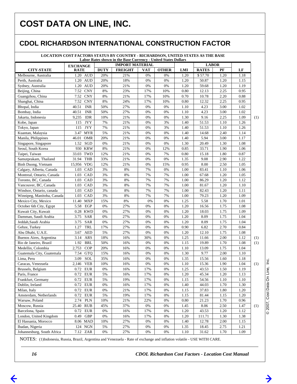#### **CDOL RICHARDSON INTERNATIONAL CONSTRUCTION FACTOR**

**LOCATION COST FACTORS STATUS BY COUNTRY - RICHARDSON, UNITED STATES AS THE BASE**

|                                            | Labor Rates shown in the Base Currency - United States Dollars<br><b>IMPORT MATERIAL</b> |             |                |     |              |      | <b>LABOR</b> |      |      |     |
|--------------------------------------------|------------------------------------------------------------------------------------------|-------------|----------------|-----|--------------|------|--------------|------|------|-----|
|                                            | <b>EXCHANGE</b>                                                                          |             |                |     |              |      |              |      |      |     |
| <b>CITY-STATE</b>                          | <b>RATE</b>                                                                              | <b>DUTY</b> | <b>FREIGHT</b> | VAT | <b>OTHER</b> | LMI  | <b>RATES</b> | PF   | LF   |     |
| Melbourne, Australia                       | 1.20 AUD                                                                                 | 20%         | 21%            | 0%  | 0%           | 1.20 | \$57.70      | 1.20 | 1.18 |     |
| Perth, Australia                           | 1.20 AUD                                                                                 | 20%         | 18%            | 0%  | 0%           | 1.20 | 50.87        | 1.20 | 1.15 |     |
| Sydney, Australia                          | 1.20 AUD                                                                                 | 20%         | 21%            | 0%  | 0%           | 1.20 | 59.68        | 1.20 | 1.19 |     |
| Beijing, China                             | 7.52 CNY                                                                                 | 8%          | 23%            | 17% | 10%          | 0.80 | 12.13        | 2.25 | 0.95 |     |
| Guangzhou, China                           | 7.52 CNY                                                                                 | 8%          | 21%            | 17% | 10%          | 0.70 | 10.78        | 2.20 | 0.88 |     |
| Shanghai, China                            | 7.52 CNY                                                                                 | 8%          | 24%            | 17% | 10%          | 0.80 | 12.32        | 2.25 | 0.95 |     |
| Bhopal, India                              | 40.51<br><b>INR</b>                                                                      | 50%         | 27%            | 0%  | 0%           | 1.10 | 4.23         | 3.00 | 1.02 |     |
| Bombay, India                              | 40.51<br><b>INR</b>                                                                      | 50%         | 27%            | 0%  | 0%           | 1.10 | 4.23         | 3.00 | 1.02 |     |
| Jakarta, Indonesia                         | 9,235<br><b>IDR</b>                                                                      | 10%         | 21%            | 0%  | 0%           | 1.30 | 9.16         | 2.25 | 1.09 | (1) |
| Kobe, Japan                                | 115<br><b>JYY</b>                                                                        | 7%          | 21%            | 0%  | 3%           | 1.40 | 51.53        | 1.10 | 1.26 |     |
| Tokyo, Japan                               | 115<br><b>JYY</b>                                                                        | 7%          | 21%            | 0%  | 3%           | 1.40 | 51.53        | 1.10 | 1.26 |     |
| Kuantan, Malaysia                          | 3.47<br><b>MYR</b>                                                                       | 5%          | 21%            | 0%  | 0%           | 1.40 | 14.68        | 2.40 | 1.14 |     |
| Manila, Philippines                        | 46.01<br><b>OMR</b>                                                                      | 20%         | 21%            | 0%  | 0%           | 1.40 | 5.94         | 3.00 | 1.17 |     |
| Singapore, Singapore                       | SGD<br>1.52                                                                              | 0%          | 21%            | 0%  | 0%           | 1.30 | 20.49        | 1.30 | 1.08 |     |
| Seoul, South Korea                         | 930 KRW                                                                                  | 8%          | 21%            | 0%  | 12%          | 0.85 | 33.71        | 1.90 | 1.06 |     |
| Taipei, Taiwan                             | <b>TWD</b><br>33.03                                                                      | 12%         | 21%            | 0%  | 7%           | 0.80 | 15.18        | 1.80 | 0.87 |     |
| Samutprakam, Thailand                      | 31.94<br><b>THB</b>                                                                      | 33%         | 21%            | 0%  | 0%           | 1.35 | 9.08         | 2.90 | 1.22 |     |
| Binh Duong, Vietnam                        | 15,956<br><b>VDG</b>                                                                     | 12%         | 21%            | 0%  | 15%          | 0.95 | 8.00         | 2.50 | 1.05 |     |
| Calgary, Alberta, Canada                   | 1.03<br>CAD                                                                              | 3%          | 8%             | 7%  | 0%           | 1.00 | 83.41        | 1.10 | 1.06 |     |
| Montreal, Ontario, Canada                  | 1.03 CAD                                                                                 | 3%          | 8%             | 7%  | 7%           | 1.00 | 67.68        | 1.20 | 1.05 |     |
| Toronto, BC, Canada                        | 1.03 CAD                                                                                 | 3%          | 8%             | 7%  | 7%           | 1.00 | 86.29        | 1.20 | 1.12 |     |
| Vancouver, BC, Canada                      | 1.03 CAD                                                                                 | 3%          | 8%             | 7%  | 7%           | 1.00 | 81.67        | 1.20 | 1.10 |     |
| Windsor, Ontario, canada                   | CAD<br>1.03                                                                              | 3%          | 8%             | 7%  | 7%           | 1.00 | 82.43        | 1.20 | 1.11 |     |
| Winnipeg, Manitoba, Canada                 | 1.03<br>CAD                                                                              | 3%          | 8%             | 7%  | 7%           | 1.00 | 79.23        | 1.20 | 1.09 |     |
| Mexico City, Mexico                        | 11.40 MXP                                                                                | 15%         | 8%             | 0%  | 0%           | 1.25 | 5.58         | 1.70 | 1.01 |     |
| October 6th City, Egypt                    | 5.58<br>EGP                                                                              | 0%          | 27%            | 0%  | 0%           | 1.20 | 16.56        | 1.75 | 1.08 |     |
| Kuwait City, Kuwait                        | 0.28 KWD                                                                                 | 0%          | 27%            | 0%  | 0%           | 1.20 | 18.03        | 1.75 | 1.09 |     |
| Damman, Saudi Arabia                       | SAR<br>3.75                                                                              | 0%          | 27%            | 0%  | 0%           | 1.20 | 8.09         | 1.75 | 1.04 |     |
| Jeddah, Saudi Arabia                       | 3.75<br><b>SAR</b>                                                                       | 0%          | 27%            | 0%  | 0%           | 1.20 | 8.09         | 1.75 | 1.04 |     |
| Gebze, Turkey                              | 1.27<br>TRL                                                                              | 17%         | 27%            | 0%  | 0%           | 0.90 | 6.82         | 2.70 | 0.84 |     |
| Abu Dhabi, U.A.E.                          | 3.67<br><b>AED</b>                                                                       | 5%          | 27%            | 0%  | 0%           | 1.20 | 12.10        | 1.75 | 1.08 |     |
| Buenos Aires, Argentina                    | 3.14<br><b>ARS</b>                                                                       | 18%         | 16%            | 30% | 0%           | 1.25 | 11.66        | 2.00 | 1.12 | (1) |
| Rio de Janeiro, Brazil                     | 1.92<br><b>BRL</b>                                                                       | 50%         | 16%            | 0%  | 0%           | 1.15 | 19.89        | 1.70 | 1.08 | (1) |
| Medellin, Colombia                         | 2,753<br><b>COP</b>                                                                      | 20%         | 16%            | 0%  | 0%           | 1.10 | 13.09        | 1.75 | 1.04 |     |
| Guatemala City, Guatemala                  | 7.54<br><b>GTQ</b>                                                                       | 15%         | 16%            | 0%  | 0%           | 1.30 | 9.77         | 2.00 | 1.10 |     |
| Lima, Peru                                 | 3.09<br>SOL                                                                              | 35%         | 16%            | 0%  | 0%           | 1.35 | 15.56        | 1.60 | 1.18 |     |
| Caracas, Venezuela                         | 2,146<br><b>VEB</b>                                                                      | 10%         | 16%            | 0%  | 0%           | 1.10 | 15.36        | 1.90 | 1.04 | (1) |
| Brussels, Belgium                          | 0.72 EUR                                                                                 | 0%          | 16%            | 17% | 0%           | 1.25 | 43.53        | 1.50 | 1.19 |     |
| Paris, France                              | 0.72<br><b>EUR</b>                                                                       | 5%          | 16%            | 17% | 0%           | 1.20 | 45.34        | 1.20 | 1.13 |     |
| Frankfurt, Germany                         | 0.72 EUR                                                                                 | 5%          | 19%            | 17% | 0%           | 1.15 | 54.56        | 1.10 | 1.10 |     |
| Dublin, Ireland                            | 0.72 EUR                                                                                 | 0%          | 16%            | 17% | 0%           | 1.40 | 44.03        | 1.70 | 1.30 |     |
| Milan, Italy                               | 0.72 EUR                                                                                 | 0%          | 21%            | 17% | 0%           | 1.15 | 37.83        | 1.80 | 1.20 |     |
| Amsterdam, Netherlands                     | 0.72<br><b>EUR</b>                                                                       | 5%          | 19%            | 17% | 0%           | 1.15 | 81.44        | 1.15 | 1.20 |     |
| Warsaw, Poland                             | 2.74<br><b>PLN</b>                                                                       | 10%         | 21%            | 22% | 0%           | 0.80 | 21.23        | 1.70 | 0.96 |     |
| Moscow, Russia                             | 25.40 RUB                                                                                | 45%         | 37%            |     | 0%           |      |              |      |      |     |
|                                            |                                                                                          |             |                | 0%  |              | 1.45 | 8.06         | 2.50 | 1.47 | (1) |
| Barcelona, Spain<br>London, United Kingdom | 0.72 EUR                                                                                 | 0%          | 16%            | 17% | 0%           | 1.20 | 43.53        | 1.20 | 1.12 |     |
|                                            | 0.49 GBP                                                                                 | 0%          | 16%            | 17% | 0%           | 1.20 | 111.71       | 1.30 | 1.38 |     |
| El Hassania, Morocco                       | 8.06 MAD                                                                                 | 10%         | 27%            | 0%  | 0%           | 1.40 | 12.78        | 2.00 | 1.15 |     |
| Ibadan, Nigeria                            | 124 NGN                                                                                  | 5%          | 27%            | 0%  | 0%           | 1.35 | 18.45        | 2.75 | 1.21 |     |
| Johannesburg, South Africa                 | 7.12 ZAR                                                                                 | 0%          | 27%            | 0%  | 0%           | 1.10 | 31.62        | 1.70 | 1.09 |     |

NOTES: (1)Indonesia, Russia, Brazil, Argentina and Venezuela - Rate of exchange and inflation volatile - USE WITH CARE.

 *16*

 $\rightarrow$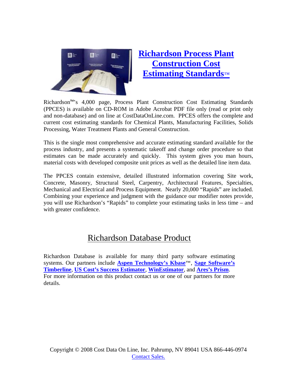

# **Richardson Process Plant Construction Cost Estimating Standards**™

Richardson™'s 4,000 page, Process Plant Construction Cost Estimating Standards (PPCES) is available on CD-ROM in Adobe Acrobat PDF file only (read or print only and non-database) and on line at CostDataOnLine.com. PPCES offers the complete and current cost estimating standards for Chemical Plants, Manufacturing Facilities, Solids Processing, Water Treatment Plants and General Construction.

This is the single most comprehensive and accurate estimating standard available for the process industry, and presents a systematic takeoff and change order procedure so that estimates can be made accurately and quickly. This system gives you man hours, material costs with developed composite unit prices as well as the detailed line item data.

The PPCES contain extensive, detailed illustrated information covering Site work, Concrete, Masonry, Structural Steel, Carpentry, Architectural Features, Specialties, Mechanical and Electrical and Process Equipment. Nearly 20,000 "Rapids" are included. Combining your experience and judgment with the guidance our modifier notes provide, you will use Richardson's "Rapids" to complete your estimating tasks in less time – and with greater confidence.

# Richardson Database Product

Richardson Database is available for many third party software estimating systems. Our partners include **Aspen Technology's Kbase™**, **Sage Software's Timberline**, **US Cost's Success Estimator**, **WinEstimator**, and **Ares's Prism**. For more information on this product contact us or one of our partners for more details.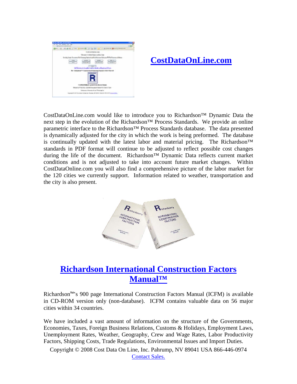

# **CostDataOnLine.com**

CostDataOnLine.com would like to introduce you to Richardson™ Dynamic Data the next step in the evolution of the Richardson™ Process Standards. We provide an online parametric interface to the Richardson™ Process Standards database. The data presented is dynamically adjusted for the city in which the work is being preformed. The database is continually updated with the latest labor and material pricing. The Richardson™ standards in PDF format will continue to be adjusted to reflect possible cost changes during the life of the document. Richardson™ Dynamic Data reflects current market conditions and is not adjusted to take into account future market changes. Within CostDataOnline.com you will also find a comprehensive picture of the labor market for the 120 cities we currently support. Information related to weather, transportation and the city is also present.



# **Richardson International Construction Factors Manual™**

Richardson™'s 900 page International Construction Factors Manual (ICFM) is available in CD-ROM version only (non-database). ICFM contains valuable data on 56 major cities within 34 countries.

We have included a vast amount of information on the structure of the Governments, Economies, Taxes, Foreign Business Relations, Customs & Holidays, Employment Laws, Unemployment Rates, Weather, Geography, Crew and Wage Rates, Labor Productivity Factors, Shipping Costs, Trade Regulations, Environmental Issues and Import Duties.

Copyright © 2008 Cost Data On Line, Inc. Pahrump, NV 89041 USA 866-446-0974 Contact Sales.